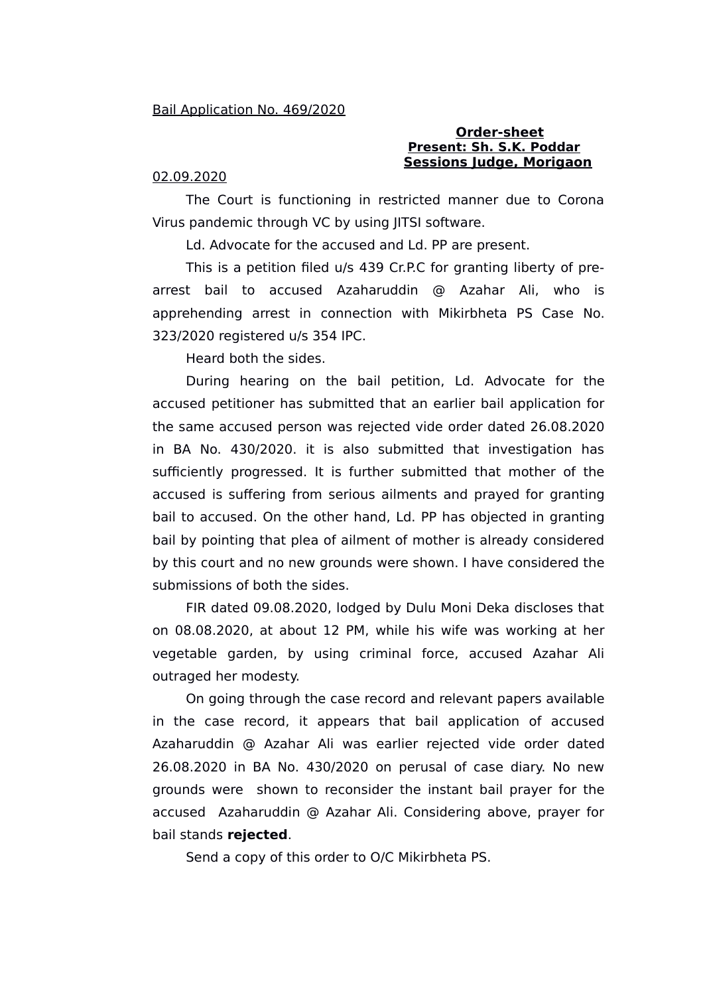## **Order-sheet Present: Sh. S.K. Poddar Sessions Judge, Morigaon**

## 02.09.2020

The Court is functioning in restricted manner due to Corona Virus pandemic through VC by using JITSI software.

Ld. Advocate for the accused and Ld. PP are present.

This is a petition filed u/s 439 Cr.P.C for granting liberty of prearrest bail to accused Azaharuddin @ Azahar Ali, who is apprehending arrest in connection with Mikirbheta PS Case No. 323/2020 registered u/s 354 IPC.

Heard both the sides.

During hearing on the bail petition, Ld. Advocate for the accused petitioner has submitted that an earlier bail application for the same accused person was rejected vide order dated 26.08.2020 in BA No. 430/2020. it is also submitted that investigation has sufficiently progressed. It is further submitted that mother of the accused is suffering from serious ailments and prayed for granting bail to accused. On the other hand, Ld. PP has objected in granting bail by pointing that plea of ailment of mother is already considered by this court and no new grounds were shown. I have considered the submissions of both the sides.

FIR dated 09.08.2020, lodged by Dulu Moni Deka discloses that on 08.08.2020, at about 12 PM, while his wife was working at her vegetable garden, by using criminal force, accused Azahar Ali outraged her modesty.

On going through the case record and relevant papers available in the case record, it appears that bail application of accused Azaharuddin @ Azahar Ali was earlier rejected vide order dated 26.08.2020 in BA No. 430/2020 on perusal of case diary. No new grounds were shown to reconsider the instant bail prayer for the accused Azaharuddin @ Azahar Ali. Considering above, prayer for bail stands **rejected**.

Send a copy of this order to O/C Mikirbheta PS.